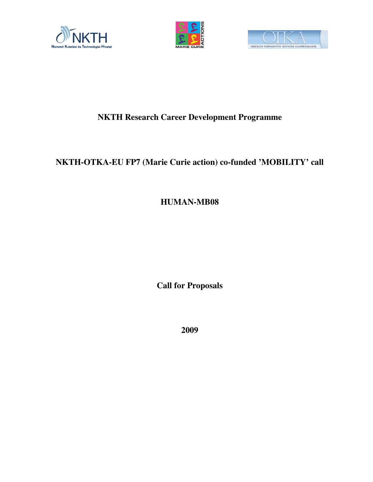





# **NKTH Research Career Development Programme**

# **NKTH-OTKA-EU FP7 (Marie Curie action) co-funded 'MOBILITY' call**

**HUMAN-MB08**

**Call for Proposals**

**2009**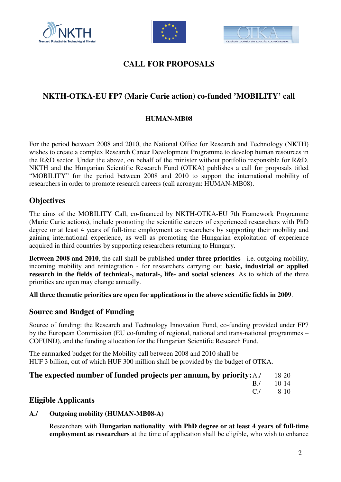





## **CALL FOR PROPOSALS**

## **NKTH-OTKA-EU FP7 (Marie Curie action) co-funded 'MOBILITY' call**

## **HUMAN-MB08**

For the period between 2008 and 2010, the National Office for Research and Technology (NKTH) wishes to create a complex Research Career Development Programme to develop human resources in the R&D sector. Under the above, on behalf of the minister without portfolio responsible for R&D, NKTH and the Hungarian Scientific Research Fund (OTKA) publishes a call for proposals titled "MOBILITY" for the period between 2008 and 2010 to support the international mobility of researchers in order to promote research careers (call acronym: HUMAN-MB08).

## **Objectives**

The aims of the MOBILITY Call, co-financed by NKTH-OTKA-EU 7th Framework Programme (Marie Curie actions), include promoting the scientific careers of experienced researchers with PhD degree or at least 4 years of full-time employment as researchers by supporting their mobility and gaining international experience, as well as promoting the Hungarian exploitation of experience acquired in third countries by supporting researchers returning to Hungary.

**Between 2008 and 2010**, the call shall be published **under three priorities** - i.e. outgoing mobility, incoming mobility and reintegration - for researchers carrying out **basic, industrial or applied research in the fields of technical-, natural-, life- and social sciences**. As to which of the three priorities are open may change annually.

**All three thematic priorities are open for applications in the above scientific fields in 2009**.

## **Source and Budget of Funding**

Source of funding: the Research and Technology Innovation Fund, co-funding provided under FP7 by the European Commission (EU co-funding of regional, national and trans-national programmes – COFUND), and the funding allocation for the Hungarian Scientific Research Fund.

The earmarked budget for the Mobility call between 2008 and 2010 shall be HUF 3 billion, out of which HUF 300 million shall be provided by the budget of OTKA.

## **The expected number of funded projects per annum, by priority:**A./ 18-20

B./ 10-14

 $C./$  8-10

## **Eligible Applicants**

#### **A./ Outgoing mobility (HUMAN-MB08-A)**

Researchers with **Hungarian nationality**, **with PhD degree or at least 4 years of full-time employment as researchers** at the time of application shall be eligible, who wish to enhance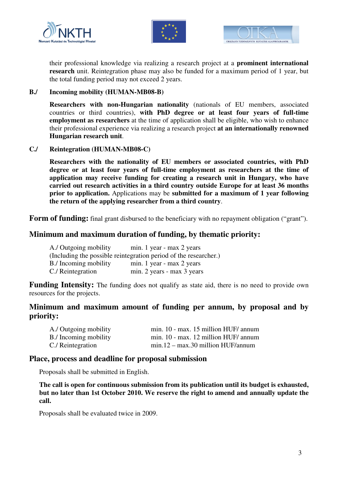





their professional knowledge via realizing a research project at a **prominent international research** unit. Reintegration phase may also be funded for a maximum period of 1 year, but the total funding period may not exceed 2 years.

#### **B./ Incoming mobility (HUMAN-MB08-B)**

**Researchers with non-Hungarian nationality** (nationals of EU members, associated countries or third countries), **with PhD degree or at least four years of full-time employment as researchers** at the time of application shall be eligible, who wish to enhance their professional experience via realizing a research project **at an internationally renowned Hungarian research unit**.

#### **C./ Reintegration (HUMAN-MB08-C)**

**Researchers with the nationality of EU members or associated countries, with PhD degree or at least four years of full-time employment as researchers at the time of application may receive funding for creating a research unit in Hungary, who have carried out research activities in a third country outside Europe for at least 36 months prior to application.** Applications may be **submitted for a maximum of 1 year following the return of the applying researcher from a third country**.

Form of funding: final grant disbursed to the beneficiary with no repayment obligation ("grant").

## **Minimum and maximum duration of funding, by thematic priority:**

| A./ Outgoing mobility                                            | min. 1 year - max 2 years  |
|------------------------------------------------------------------|----------------------------|
| (Including the possible reintegration period of the researcher.) |                            |
| B./ Incoming mobility                                            | min. 1 year - max 2 years  |
| C./ Reintegration                                                | min. 2 years - max 3 years |

**Funding Intensity:** The funding does not qualify as state aid, there is no need to provide own resources for the projects.

## **Minimum and maximum amount of funding per annum, by proposal and by priority:**

| A./ Outgoing mobility | min. 10 - max. 15 million HUF/ annum |
|-----------------------|--------------------------------------|
| B./ Incoming mobility | min. 10 - max. 12 million HUF/ annum |
| C./ Reintegration     | $min.12 - max.30$ million HUF/annum  |

#### **Place, process and deadline for proposal submission**

Proposals shall be submitted in English.

**The call is open for continuous submission from its publication until its budget is exhausted, but no later than 1st October 2010. We reserve the right to amend and annually update the call.**

Proposals shall be evaluated twice in 2009.